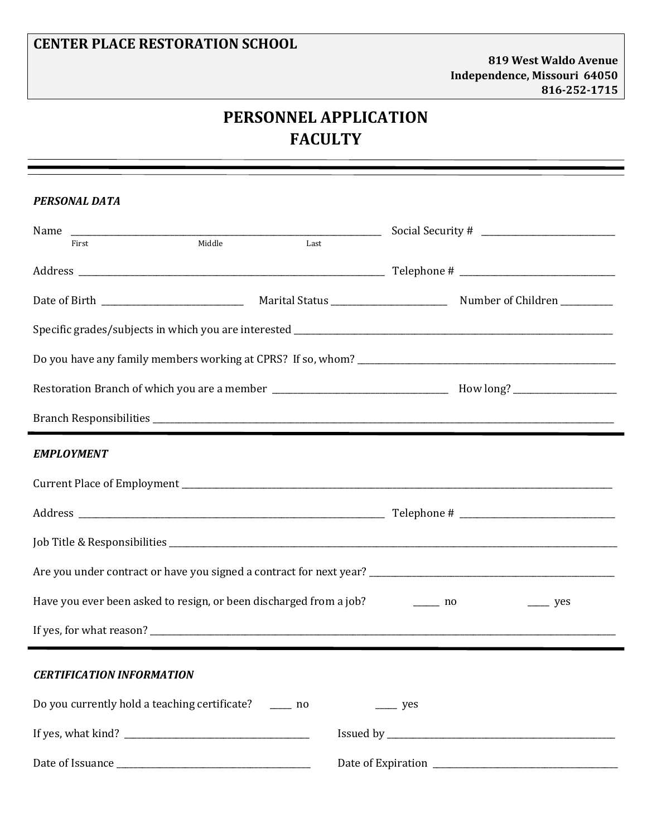## **CENTER PLACE RESTORATION SCHOOL**

## **PERSONNEL APPLICATION FACULTY**

| <b>PERSONAL DATA</b>                                                                                           |                    |  |  |  |  |
|----------------------------------------------------------------------------------------------------------------|--------------------|--|--|--|--|
| Middle<br>Last<br>First                                                                                        |                    |  |  |  |  |
|                                                                                                                |                    |  |  |  |  |
|                                                                                                                |                    |  |  |  |  |
|                                                                                                                |                    |  |  |  |  |
|                                                                                                                |                    |  |  |  |  |
| Restoration Branch of which you are a member ___________________________________ How long? ___________________ |                    |  |  |  |  |
|                                                                                                                |                    |  |  |  |  |
| <b>EMPLOYMENT</b>                                                                                              |                    |  |  |  |  |
|                                                                                                                |                    |  |  |  |  |
|                                                                                                                |                    |  |  |  |  |
|                                                                                                                |                    |  |  |  |  |
|                                                                                                                |                    |  |  |  |  |
| Have you ever been asked to resign, or been discharged from a job? _________ no<br>$\rightharpoonup$ yes       |                    |  |  |  |  |
|                                                                                                                |                    |  |  |  |  |
| <b>CERTIFICATION INFORMATION</b>                                                                               |                    |  |  |  |  |
| Do you currently hold a teaching certificate? _______ no                                                       | $\frac{\ }{2}$ yes |  |  |  |  |
|                                                                                                                |                    |  |  |  |  |
|                                                                                                                |                    |  |  |  |  |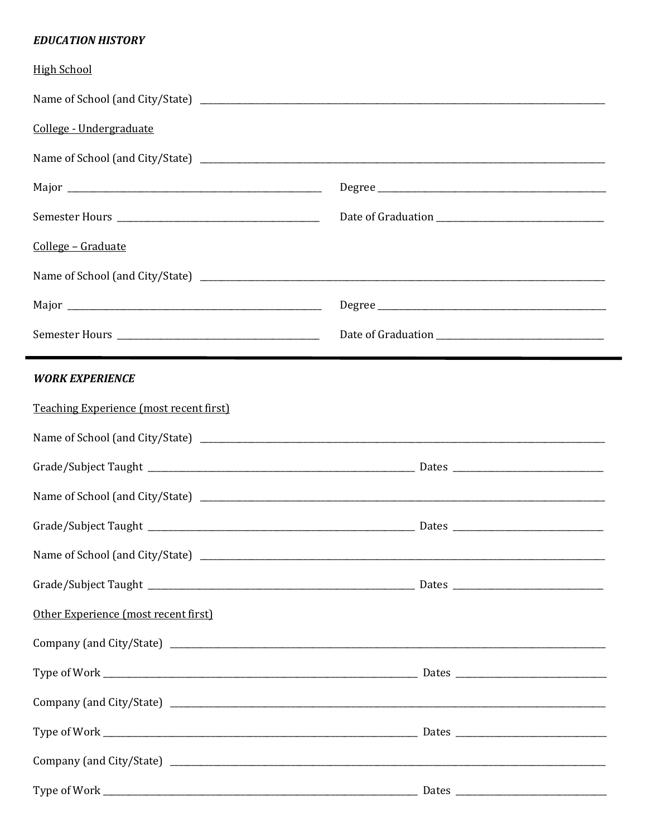## **EDUCATION HISTORY**

| <b>High School</b>                             |  |  |
|------------------------------------------------|--|--|
|                                                |  |  |
| College - Undergraduate                        |  |  |
|                                                |  |  |
|                                                |  |  |
|                                                |  |  |
| College - Graduate                             |  |  |
|                                                |  |  |
|                                                |  |  |
|                                                |  |  |
| <b>WORK EXPERIENCE</b>                         |  |  |
| <b>Teaching Experience (most recent first)</b> |  |  |
|                                                |  |  |
|                                                |  |  |
|                                                |  |  |
|                                                |  |  |
|                                                |  |  |
|                                                |  |  |
| Other Experience (most recent first)           |  |  |
|                                                |  |  |
|                                                |  |  |
|                                                |  |  |
|                                                |  |  |
|                                                |  |  |
|                                                |  |  |